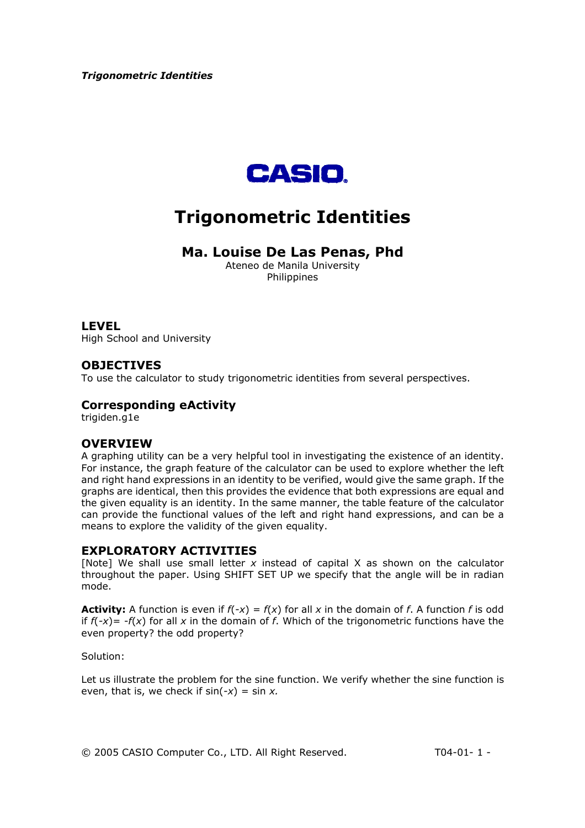

# **Trigonometric Identities**

## **Ma. Louise De Las Penas, Phd**

Ateneo de Manila University Philippines

## **LEVEL**

High School and University

## **OBJECTIVES**

To use the calculator to study trigonometric identities from several perspectives.

## **Corresponding eActivity**

trigiden.g1e

## **OVERVIEW**

A graphing utility can be a very helpful tool in investigating the existence of an identity. For instance, the graph feature of the calculator can be used to explore whether the left and right hand expressions in an identity to be verified, would give the same graph. If the graphs are identical, then this provides the evidence that both expressions are equal and the given equality is an identity. In the same manner, the table feature of the calculator can provide the functional values of the left and right hand expressions, and can be a means to explore the validity of the given equality.

## **EXPLORATORY ACTIVITIES**

[Note] We shall use small letter *x* instead of capital X as shown on the calculator throughout the paper. Using SHIFT SET UP we specify that the angle will be in radian mode.

**Activity:** A function is even if  $f(-x) = f(x)$  for all x in the domain of f. A function f is odd if  $f(-x) = -f(x)$  for all x in the domain of f. Which of the trigonometric functions have the even property? the odd property?

Solution:

Let us illustrate the problem for the sine function. We verify whether the sine function is even, that is, we check if sin(*-x*) = sin *x.* 

© 2005 CASIO Computer Co., LTD. All Right Reserved. T04-01- 1 -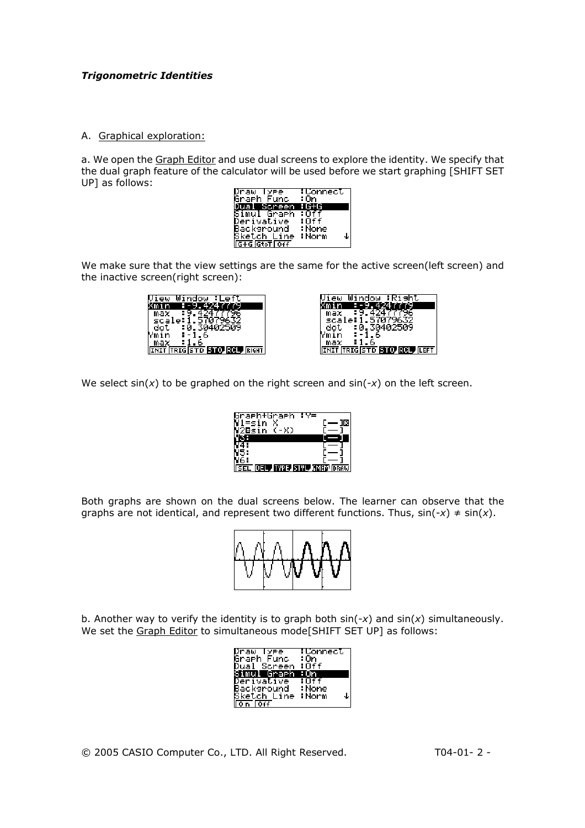#### A. Graphical exploration:

a. We open the Graph Editor and use dual screens to explore the identity. We specify that the dual graph feature of the calculator will be used before we start graphing [SHIFT SET UP] as follows:

| Draw<br><b>YPe</b>  | :Connect |
|---------------------|----------|
| Graeh<br>Func       | : On     |
| creen               |          |
| Simul<br>Graeh      |          |
| Derivative          | :Off     |
| Backsround          | : None   |
| Sketch Line         | :Norm    |
| <b>G+G</b> GtoT 0ff |          |

We make sure that the view settings are the same for the active screen(left screen) and the inactive screen(right screen):

|         | lindow                     |
|---------|----------------------------|
|         |                            |
| max     |                            |
| scale:1 |                            |
| dot     | 30402509                   |
| łmin.   | ь                          |
| max     |                            |
|         | IT FRIGISTO <b>STO</b> ROL |

|         | Window                              |
|---------|-------------------------------------|
|         |                                     |
| max     |                                     |
| scale:1 |                                     |
| dot.    | :0.30402509                         |
| Ymin    |                                     |
| max     |                                     |
|         | <b>INIT TRIGISTO STO ROL (LEFT)</b> |

We select sin(*x*) to be graphed on the right screen and sin(-*x*) on the left screen.

| Graeh+Graeh<br>=s1n<br>-X)<br>asin | ∶γ≡              |
|------------------------------------|------------------|
| L.<br>л                            | TYPE, STYL, JMEM |

Both graphs are shown on the dual screens below. The learner can observe that the graphs are not identical, and represent two different functions. Thus,  $sin(-x) \neq sin(x)$ .



b. Another way to verify the identity is to graph both sin(-*x*) and sin(*x*) simultaneously. We set the Graph Editor to simultaneous mode[SHIFT SET UP] as follows:

| Draw Type              | :Connect   |
|------------------------|------------|
| Graph Func             | :On        |
| Dual Screen            | :0ff       |
| Simul Graeh            | : On       |
| Derivative             | :0ff       |
| Backsround             | : None     |
| Sket <u>ch Line</u>    | ∶Norm<br>↓ |
| $\sqrt{0n}$ $\sqrt{0}$ |            |

© 2005 CASIO Computer Co., LTD. All Right Reserved. T04-01- 2 -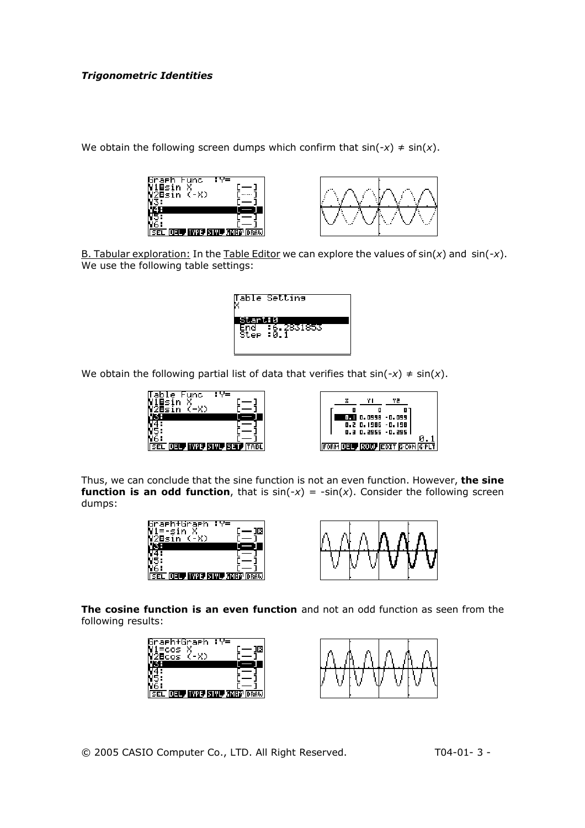We obtain the following screen dumps which confirm that  $sin(-x) \neq sin(x)$ .





B. Tabular exploration: In the Table Editor we can explore the values of sin(*x*) and sin(-*x*). We use the following table settings:



We obtain the following partial list of data that verifies that  $sin(-x) \neq sin(x)$ .



Thus, we can conclude that the sine function is not an even function. However, **the sine function is an odd function**, that is  $sin(-x) = -sin(x)$ . Consider the following screen dumps:





**The cosine function is an even function** and not an odd function as seen from the following results:



© 2005 CASIO Computer Co., LTD. All Right Reserved. T04-01- 3 -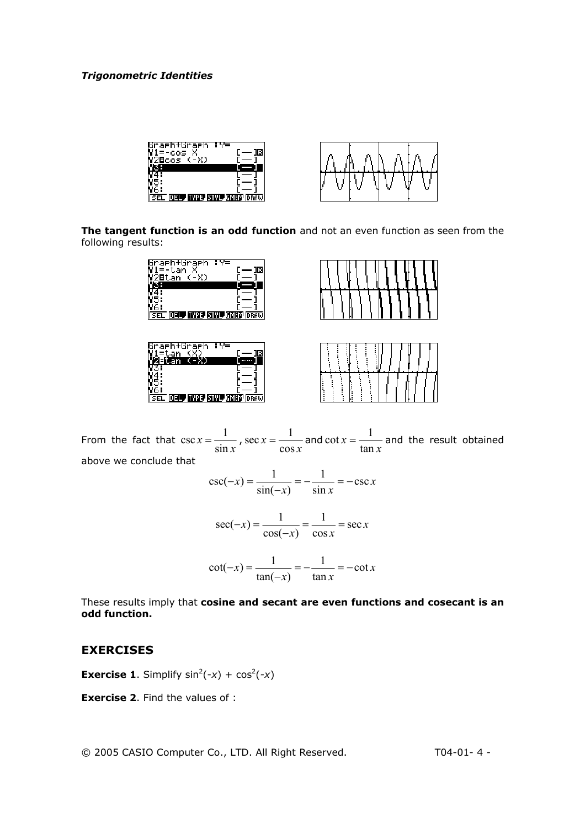

**The tangent function is an odd function** and not an even function as seen from the following results:



From the fact that  $\csc x = \frac{1}{\sin x}$ *x* sin  $\csc x = \frac{1}{\sin x}$ ,  $\sec x = \frac{1}{\cos x}$ cos  $\sec x = \frac{1}{1}$  and *x x* tan  $\cot x = \frac{1}{1}$  and the result obtained above we conclude that

$$
\csc(-x) = \frac{1}{\sin(-x)} = -\frac{1}{\sin x} = -\csc x
$$

$$
\sec(-x) = \frac{1}{\cos(-x)} = \frac{1}{\cos x} = \sec x
$$

$$
\cot(-x) = \frac{1}{\tan(-x)} = -\frac{1}{\tan x} = -\cot x
$$

These results imply that **cosine and secant are even functions and cosecant is an odd function.** 

## **EXERCISES**

**Exercise 1.** Simplify  $sin^2(-x) + cos^2(-x)$ 

**Exercise 2**. Find the values of :

© 2005 CASIO Computer Co., LTD. All Right Reserved. T04-01- 4 -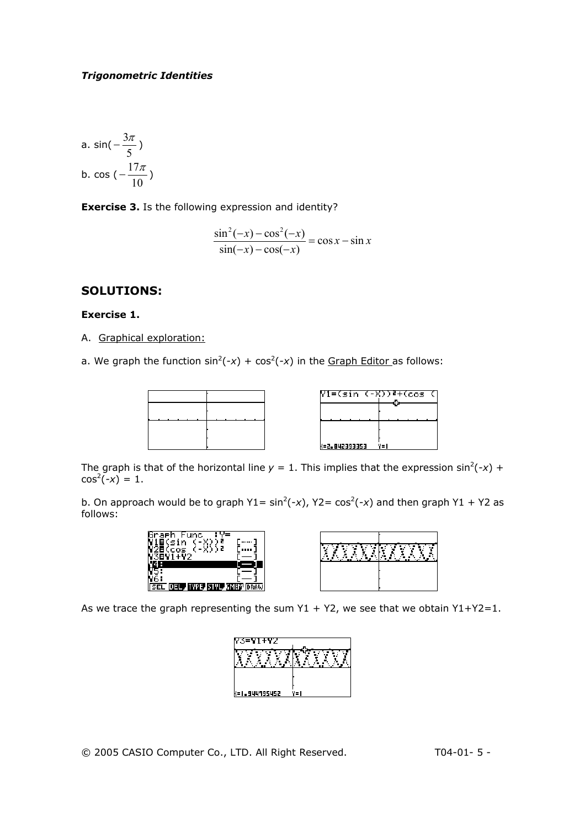a. 
$$
\sin\left(-\frac{3\pi}{5}\right)
$$
  
b. 
$$
\cos\left(-\frac{17\pi}{10}\right)
$$

**Exercise 3.** Is the following expression and identity?

$$
\frac{\sin^2(-x) - \cos^2(-x)}{\sin(-x) - \cos(-x)} = \cos x - \sin x
$$

## **SOLUTIONS:**

#### **Exercise 1.**

A. Graphical exploration:

a. We graph the function  $sin^2(-x) + cos^2(-x)$  in the Graph Editor as follows:

|               | Y1=(sin (-X))≧+(cos (L |
|---------------|------------------------|
|               |                        |
|               |                        |
|               |                        |
| {=2.842393353 | Y=I                    |

The graph is that of the horizontal line  $y = 1$ . This implies that the expression sin<sup>2</sup>(-x) +  $cos^2(-x) = 1.$ 

b. On approach would be to graph  $Y1 = sin^2(-x)$ ,  $Y2 = cos^2(-x)$  and then graph  $Y1 + Y2$  as follows:

| <br>                                |
|-------------------------------------|
| VPE STVL SMEM<br>DRAW<br><b>SEL</b> |

As we trace the graph representing the sum  $Y1 + Y2$ , we see that we obtain  $Y1+Y2=1$ .

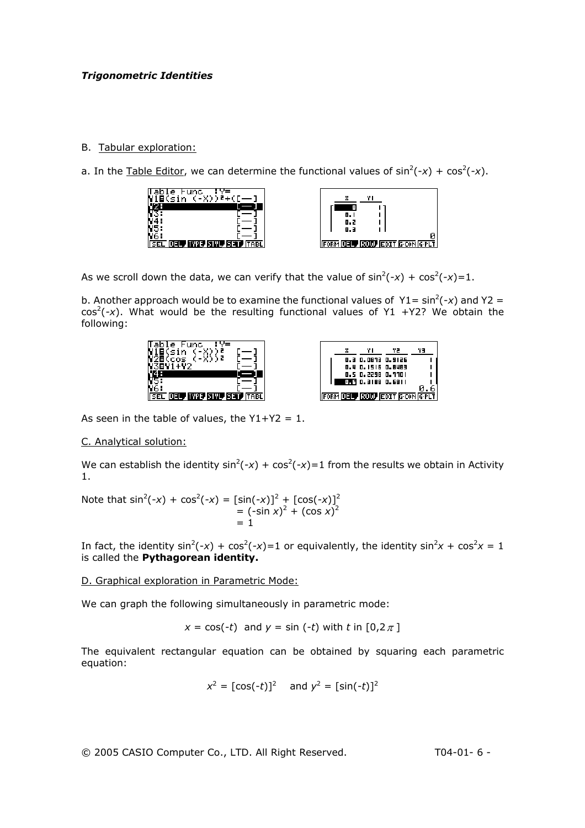## B. Tabular exploration:

a. In the Table Editor, we can determine the functional values of  $sin^2(-x) + cos^2(-x)$ .



As we scroll down the data, we can verify that the value of  $sin^2(-x) + cos^2(-x) = 1$ .

b. Another approach would be to examine the functional values of  $Y1 = sin^2(-x)$  and  $Y2 =$  $cos<sup>2</sup>(-x)$ . What would be the resulting functional values of Y1 +Y2? We obtain the following:





As seen in the table of values, the  $Y1+Y2 = 1$ .

## C. Analytical solution:

We can establish the identity  $sin^2(-x) + cos^2(-x) = 1$  from the results we obtain in Activity 1.

Note that  $\sin^2(-x) + \cos^2(-x) = [\sin(-x)]^2 + [\cos(-x)]^2$  $= (-\sin x)^2 + (\cos x)^2$  $= 1$ 

In fact, the identity  $sin^2(-x) + cos^2(-x) = 1$  or equivalently, the identity  $sin^2x + cos^2x = 1$ is called the **Pythagorean identity.** 

D. Graphical exploration in Parametric Mode:

We can graph the following simultaneously in parametric mode:

$$
x = \cos(-t)
$$
 and  $y = \sin(-t)$  with  $t$  in  $[0, 2\pi]$ 

The equivalent rectangular equation can be obtained by squaring each parametric equation:

$$
x^2 = [cos(-t)]^2
$$
 and  $y^2 = [sin(-t)]^2$ 

© 2005 CASIO Computer Co., LTD. All Right Reserved. T04-01- 6 -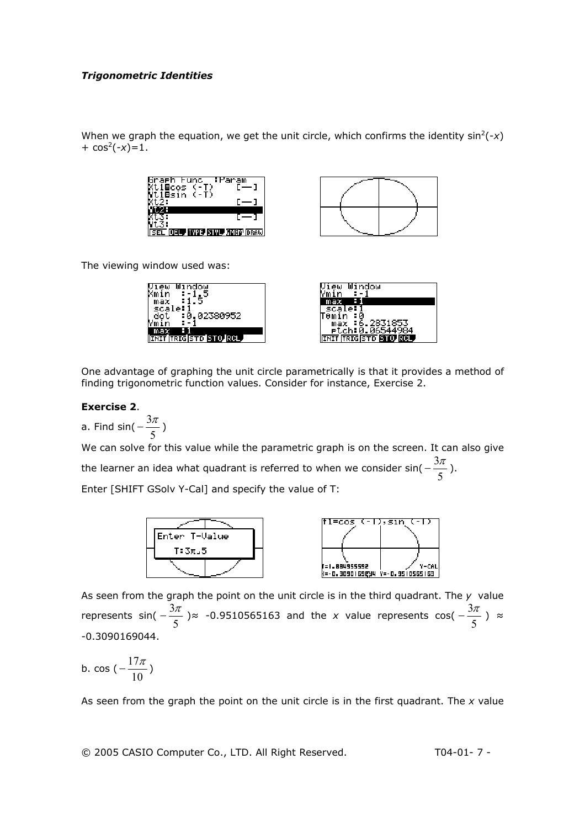When we graph the equation, we get the unit circle, which confirms the identity  $sin^2(-x)$  $+ \cos^2(-x) = 1.$ 





The viewing window used was:

| Window                        | Window                       |
|-------------------------------|------------------------------|
| Xmin<br>٠<br>$-$              | ÷ -<br>Ymın                  |
| :1.5<br>max                   | Η<br>max                     |
| scale:                        | e:<br>scal                   |
| :0.02380952<br>dol            | TAmin<br>: и                 |
| Ymin<br>: -                   | 2831853<br>max               |
| max                           | rtch:0.065449                |
| <b>INIT TRIGISTO STO. RCL</b> | <b>INIT TRIGISTO STO ROL</b> |
|                               |                              |

One advantage of graphing the unit circle parametrically is that it provides a method of finding trigonometric function values. Consider for instance, Exercise 2.

#### **Exercise 2**.

a. Find sin( $-\frac{5\pi}{5}$  $-\frac{3\pi}{2}$ ) We can solve for this value while the parametric graph is on the screen. It can also give the learner an idea what quadrant is referred to when we consider sin(  $-\frac{5\%}{5}$  $-\frac{3\pi}{2}$ ). Enter [SHIFT GSolv Y-Cal] and specify the value of T:



As seen from the graph the point on the unit circle is in the third quadrant. The *y* value represents sin(  $-\frac{3\pi}{5}$  )≈ -0.9510565163 and the *x* value represents cos(  $-\frac{3\pi}{5}$  ) ≈ -0.3090169044.

b. cos ( $-\frac{1}{10}$ )  $-\frac{17\pi}{4}$ )

As seen from the graph the point on the unit circle is in the first quadrant. The *x* value

© 2005 CASIO Computer Co., LTD. All Right Reserved. T04-01- 7 -